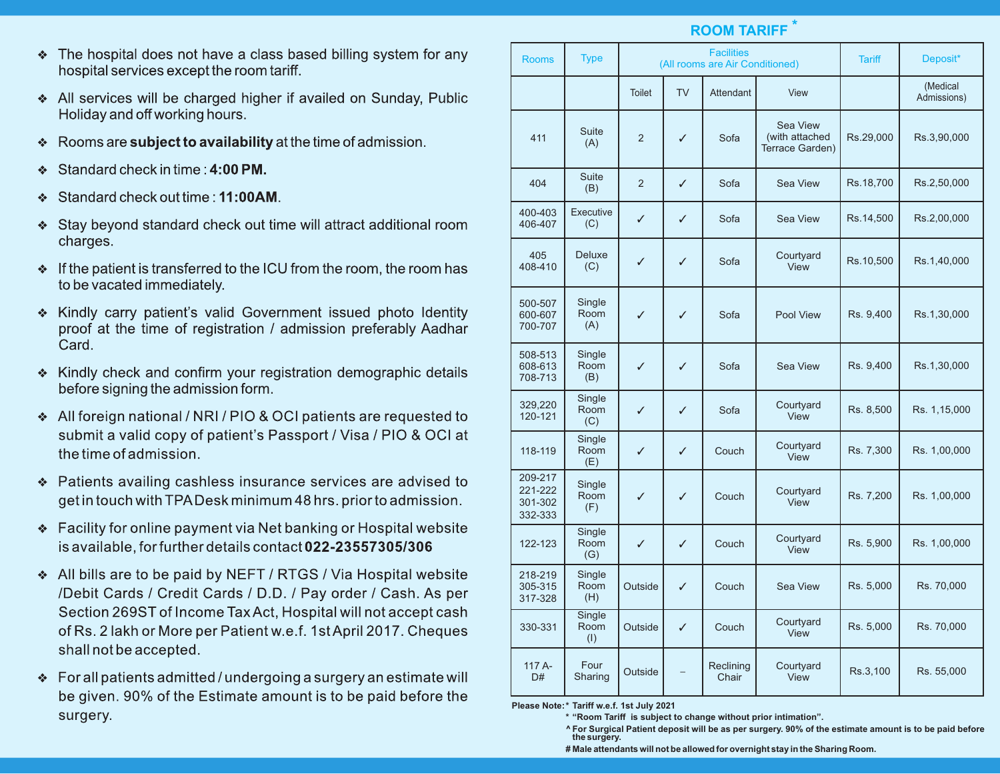- In the hospital does not have a class based billing system for any ↓ hospital services except the room tariff.
- All services will be charged higher if availed on Sunday, Public Holiday and off working hours.
- \* Rooms are subject to availability at the time of admission.
- Standard check in time: 4:00 PM.
- Standard check out time: 11:00AM.  $\mathcal{L}_{\mathcal{C}}$
- ❖ Stay beyond standard check out time will attract additional room charges.
- If the patient is transferred to the ICU from the room, the room has to be vacated immediately.
- \* Kindly carry patient's valid Government issued photo Identity proof at the time of registration / admission preferably Aadhar Card.
- \* Kindly check and confirm your registration demographic details before signing the admission form.
- All foreign national / NRI / PIO & OCI patients are requested to submit a valid copy of patient's Passport / Visa / PIO & OCI at the time of admission.
- ♦ Patients availing cashless insurance services are advised to get in touch with TPA Desk minimum 48 hrs. prior to admission.
- ← Facility for online payment via Net banking or Hospital website is available, for further details contact 022-23557305/306
- All bills are to be paid by NEFT / RTGS / Via Hospital website /Debit Cards / Credit Cards / D.D. / Pay order / Cash. As per Section 269ST of Income Tax Act, Hospital will not accept cash of Rs. 2 lakh or More per Patient w.e.f. 1st April 2017. Cheques shall not be accepted.
- $\bullet$  For all patients admitted / undergoing a surgery an estimate will be given. 90% of the Estimate amount is to be paid before the surgery.

| <b>Rooms</b>                             | <b>Type</b>           | <b>Facilities</b><br>(All rooms are Air Conditioned) |           |                    | <b>Tariff</b>                                 | Deposit*  |                         |
|------------------------------------------|-----------------------|------------------------------------------------------|-----------|--------------------|-----------------------------------------------|-----------|-------------------------|
|                                          |                       | <b>Toilet</b>                                        | <b>TV</b> | Attendant          | View                                          |           | (Medical<br>Admissions) |
| 411                                      | Suite<br>(A)          | $\overline{2}$                                       | ✓         | Sofa               | Sea View<br>(with attached<br>Terrace Garden) | Rs.29,000 | Rs.3,90,000             |
| 404                                      | <b>Suite</b><br>(B)   | $\overline{2}$                                       | ✓         | Sofa               | Sea View                                      | Rs.18,700 | Rs.2,50,000             |
| 400-403<br>406-407                       | Executive<br>(C)      | ✓                                                    | ✓         | Sofa               | <b>Sea View</b>                               | Rs.14,500 | Rs.2,00,000             |
| 405<br>408-410                           | <b>Deluxe</b><br>(C)  | ✓                                                    | ✓         | Sofa               | Courtyard<br><b>View</b>                      | Rs.10,500 | Rs.1,40,000             |
| 500-507<br>600-607<br>700-707            | Single<br>Room<br>(A) | ✓                                                    | ✓         | Sofa               | Pool View                                     | Rs. 9,400 | Rs.1,30,000             |
| 508-513<br>608-613<br>708-713            | Single<br>Room<br>(B) | ✓                                                    | ✓         | Sofa               | Sea View                                      | Rs. 9,400 | Rs.1,30,000             |
| 329,220<br>120-121                       | Single<br>Room<br>(C) | ✓                                                    | ✓         | Sofa               | Courtyard<br><b>View</b>                      | Rs. 8,500 | Rs. 1,15,000            |
| 118-119                                  | Single<br>Room<br>(E) | ✓                                                    | ✓         | Couch              | Courtyard<br>View                             | Rs. 7,300 | Rs. 1,00,000            |
| 209-217<br>221-222<br>301-302<br>332-333 | Single<br>Room<br>(F) | ✓                                                    | ✓         | Couch              | Courtyard<br>View                             | Rs. 7,200 | Rs. 1,00,000            |
| 122-123                                  | Single<br>Room<br>(G) | ✓                                                    | ✓         | Couch              | Courtyard<br>View                             | Rs. 5,900 | Rs. 1,00,000            |
| 218-219<br>305-315<br>317-328            | Single<br>Room<br>(H) | Outside                                              | ✓         | Couch              | Sea View                                      | Rs. 5,000 | Rs. 70,000              |
| 330-331                                  | Single<br>Room<br>(1) | Outside                                              | ✓         | Couch              | Courtyard<br>View                             | Rs. 5,000 | Rs. 70,000              |
| $117A -$<br>D#                           | Four<br>Sharing       | Outside                                              |           | Reclining<br>Chair | Courtyard<br>View                             | Rs.3,100  | Rs. 55,000              |

**Please Note:\* Tariff w.e.f. 1st July 2021**

- **\* "Room Tariff is subject to change without prior intimation".**
- **^ For Surgical Patient deposit will be as per surgery. 90% of the estimate amount is to be paid before the surgery.**

**# Male attendants will not be allowed for overnight stay in the Sharing Room.**

## **\* ROOM TARIFF**